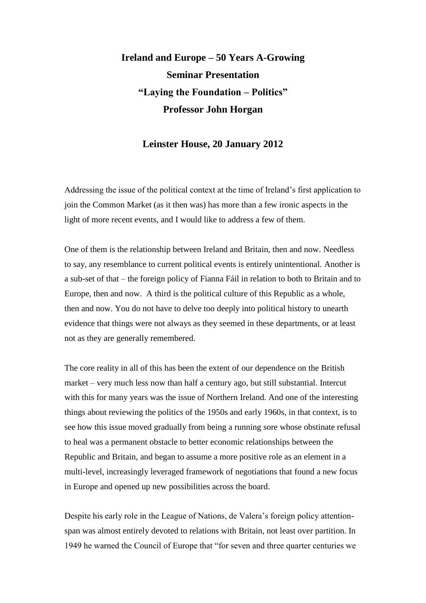## **Ireland and Europe – 50 Years A-Growing Seminar Presentation "Laying the Foundation – Politics" Professor John Horgan**

## **Leinster House, 20 January 2012**

Addressing the issue of the political context at the time of Ireland's first application to join the Common Market (as it then was) has more than a few ironic aspects in the light of more recent events, and I would like to address a few of them.

One of them is the relationship between Ireland and Britain, then and now. Needless to say, any resemblance to current political events is entirely unintentional. Another is a sub-set of that – the foreign policy of Fianna Fáil in relation to both to Britain and to Europe, then and now. A third is the political culture of this Republic as a whole, then and now. You do not have to delve too deeply into political history to unearth evidence that things were not always as they seemed in these departments, or at least not as they are generally remembered.

The core reality in all of this has been the extent of our dependence on the British market – very much less now than half a century ago, but still substantial. Intercut with this for many years was the issue of Northern Ireland. And one of the interesting things about reviewing the politics of the 1950s and early 1960s, in that context, is to see how this issue moved gradually from being a running sore whose obstinate refusal to heal was a permanent obstacle to better economic relationships between the Republic and Britain, and began to assume a more positive role as an element in a multi-level, increasingly leveraged framework of negotiations that found a new focus in Europe and opened up new possibilities across the board.

Despite his early role in the League of Nations, de Valera's foreign policy attentionspan was almost entirely devoted to relations with Britain, not least over partition. In 1949 he warned the Council of Europe that "for seven and three quarter centuries we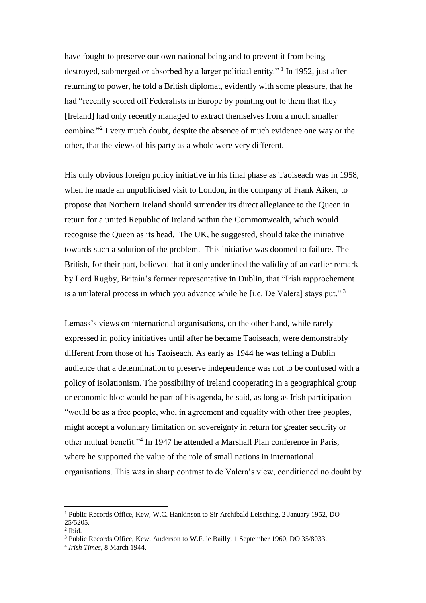have fought to preserve our own national being and to prevent it from being destroyed, submerged or absorbed by a larger political entity."<sup>1</sup> In 1952, just after returning to power, he told a British diplomat, evidently with some pleasure, that he had "recently scored off Federalists in Europe by pointing out to them that they [Ireland] had only recently managed to extract themselves from a much smaller combine."<sup>2</sup> I very much doubt, despite the absence of much evidence one way or the other, that the views of his party as a whole were very different.

His only obvious foreign policy initiative in his final phase as Taoiseach was in 1958, when he made an unpublicised visit to London, in the company of Frank Aiken, to propose that Northern Ireland should surrender its direct allegiance to the Queen in return for a united Republic of Ireland within the Commonwealth, which would recognise the Queen as its head. The UK, he suggested, should take the initiative towards such a solution of the problem. This initiative was doomed to failure. The British, for their part, believed that it only underlined the validity of an earlier remark by Lord Rugby, Britain's former representative in Dublin, that "Irish rapprochement is a unilateral process in which you advance while he [i.e. De Valera] stays put." <sup>3</sup>

Lemass's views on international organisations, on the other hand, while rarely expressed in policy initiatives until after he became Taoiseach, were demonstrably different from those of his Taoiseach. As early as 1944 he was telling a Dublin audience that a determination to preserve independence was not to be confused with a policy of isolationism. The possibility of Ireland cooperating in a geographical group or economic bloc would be part of his agenda, he said, as long as Irish participation "would be as a free people, who, in agreement and equality with other free peoples, might accept a voluntary limitation on sovereignty in return for greater security or other mutual benefit."<sup>4</sup> In 1947 he attended a Marshall Plan conference in Paris, where he supported the value of the role of small nations in international organisations. This was in sharp contrast to de Valera's view, conditioned no doubt by

<sup>1</sup> Public Records Office, Kew, W.C. Hankinson to Sir Archibald Leisching, 2 January 1952, DO 25/5205.

<sup>2</sup> Ibid.

<sup>3</sup> Public Records Office, Kew, Anderson to W.F. le Bailly, 1 September 1960, DO 35/8033.

<sup>4</sup> *Irish Times*, 8 March 1944.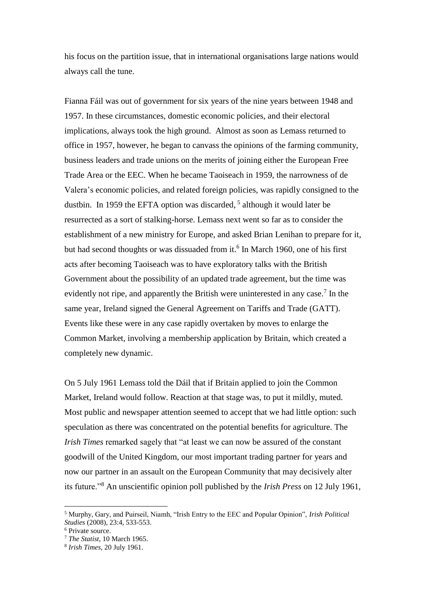his focus on the partition issue, that in international organisations large nations would always call the tune.

Fianna Fáil was out of government for six years of the nine years between 1948 and 1957. In these circumstances, domestic economic policies, and their electoral implications, always took the high ground. Almost as soon as Lemass returned to office in 1957, however, he began to canvass the opinions of the farming community, business leaders and trade unions on the merits of joining either the European Free Trade Area or the EEC. When he became Taoiseach in 1959, the narrowness of de Valera's economic policies, and related foreign policies, was rapidly consigned to the dustbin. In 1959 the EFTA option was discarded,<sup>5</sup> although it would later be resurrected as a sort of stalking-horse. Lemass next went so far as to consider the establishment of a new ministry for Europe, and asked Brian Lenihan to prepare for it, but had second thoughts or was dissuaded from it.<sup>6</sup> In March 1960, one of his first acts after becoming Taoiseach was to have exploratory talks with the British Government about the possibility of an updated trade agreement, but the time was evidently not ripe, and apparently the British were uninterested in any case.<sup>7</sup> In the same year, Ireland signed the General Agreement on Tariffs and Trade (GATT). Events like these were in any case rapidly overtaken by moves to enlarge the Common Market, involving a membership application by Britain, which created a completely new dynamic.

On 5 July 1961 Lemass told the Dáil that if Britain applied to join the Common Market, Ireland would follow. Reaction at that stage was, to put it mildly, muted. Most public and newspaper attention seemed to accept that we had little option: such speculation as there was concentrated on the potential benefits for agriculture. The *Irish Times* remarked sagely that "at least we can now be assured of the constant goodwill of the United Kingdom, our most important trading partner for years and now our partner in an assault on the European Community that may decisively alter its future."<sup>8</sup> An unscientific opinion poll published by the *Irish Press* on 12 July 1961,

<sup>5</sup> Murphy, Gary, and Puirseil, Niamh, "Irish Entry to the EEC and Popular Opinion", *Irish Political Studies* (2008), 23:4, 533-553.

<sup>6</sup> Private source.

<sup>7</sup> *The Statist*, 10 March 1965.

<sup>8</sup> *Irish Times*, 20 July 1961.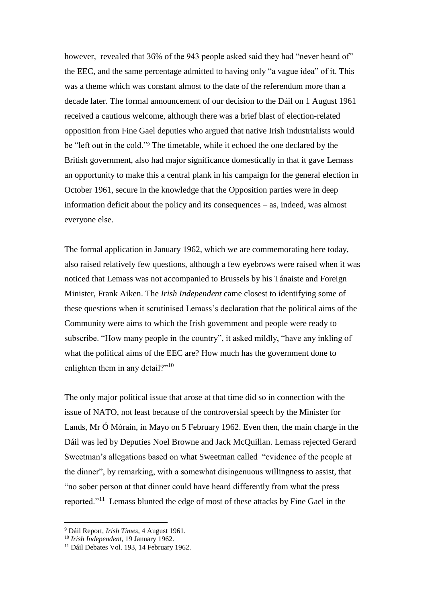however, revealed that 36% of the 943 people asked said they had "never heard of" the EEC, and the same percentage admitted to having only "a vague idea" of it. This was a theme which was constant almost to the date of the referendum more than a decade later. The formal announcement of our decision to the Dáil on 1 August 1961 received a cautious welcome, although there was a brief blast of election-related opposition from Fine Gael deputies who argued that native Irish industrialists would be "left out in the cold."<sup>9</sup> The timetable, while it echoed the one declared by the British government, also had major significance domestically in that it gave Lemass an opportunity to make this a central plank in his campaign for the general election in October 1961, secure in the knowledge that the Opposition parties were in deep information deficit about the policy and its consequences – as, indeed, was almost everyone else.

The formal application in January 1962, which we are commemorating here today, also raised relatively few questions, although a few eyebrows were raised when it was noticed that Lemass was not accompanied to Brussels by his Tánaiste and Foreign Minister, Frank Aiken. The *Irish Independent* came closest to identifying some of these questions when it scrutinised Lemass's declaration that the political aims of the Community were aims to which the Irish government and people were ready to subscribe. "How many people in the country", it asked mildly, "have any inkling of what the political aims of the EEC are? How much has the government done to enlighten them in any detail?"<sup>10</sup>

The only major political issue that arose at that time did so in connection with the issue of NATO, not least because of the controversial speech by the Minister for Lands, Mr Ó Mórain, in Mayo on 5 February 1962. Even then, the main charge in the Dáil was led by Deputies Noel Browne and Jack McQuillan. Lemass rejected Gerard Sweetman's allegations based on what Sweetman called "evidence of the people at the dinner", by remarking, with a somewhat disingenuous willingness to assist, that "no sober person at that dinner could have heard differently from what the press reported."<sup>11</sup> Lemass blunted the edge of most of these attacks by Fine Gael in the

<sup>9</sup> Dáil Report, *Irish Times*, 4 August 1961.

<sup>10</sup> *Irish Independent*, 19 January 1962.

<sup>&</sup>lt;sup>11</sup> Dáil Debates Vol. 193, 14 February 1962.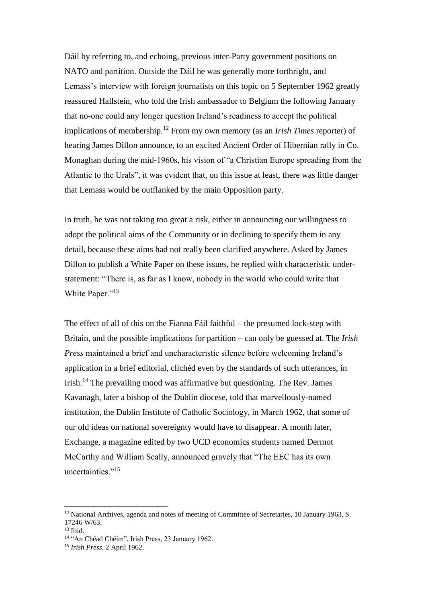Dáil by referring to, and echoing, previous inter-Party government positions on NATO and partition. Outside the Dáil he was generally more forthright, and Lemass's interview with foreign journalists on this topic on 5 September 1962 greatly reassured Hallstein, who told the Irish ambassador to Belgium the following January that no-one could any longer question Ireland's readiness to accept the political implications of membership.<sup>12</sup> From my own memory (as an *Irish Times* reporter) of hearing James Dillon announce, to an excited Ancient Order of Hibernian rally in Co. Monaghan during the mid-1960s, his vision of "a Christian Europe spreading from the Atlantic to the Urals", it was evident that, on this issue at least, there was little danger that Lemass would be outflanked by the main Opposition party.

In truth, he was not taking too great a risk, either in announcing our willingness to adopt the political aims of the Community or in declining to specify them in any detail, because these aims had not really been clarified anywhere. Asked by James Dillon to publish a White Paper on these issues, he replied with characteristic understatement: "There is, as far as I know, nobody in the world who could write that White Paper."<sup>13</sup>

The effect of all of this on the Fianna Fáil faithful – the presumed lock-step with Britain, and the possible implications for partition – can only be guessed at. The *Irish Press* maintained a brief and uncharacteristic silence before welcoming Ireland's application in a brief editorial, clichéd even by the standards of such utterances, in Irish.<sup>14</sup> The prevailing mood was affirmative but questioning. The Rev. James Kavanagh, later a bishop of the Dublin diocese, told that marvellously-named institution, the Dublin Institute of Catholic Sociology, in March 1962, that some of our old ideas on national sovereignty would have to disappear. A month later, Exchange, a magazine edited by two UCD economics students named Dermot McCarthy and William Scally, announced gravely that "The EEC has its own uncertainties."<sup>15</sup>

 $12$  National Archives, agenda and notes of meeting of Committee of Secretaries, 10 January 1963, S 17246 W/63.

<sup>13</sup> Ibid.

<sup>14</sup> "An Chéad Chéim", Irish Press, 23 January 1962.

<sup>15</sup> *Irish Press*, 2 April 1962.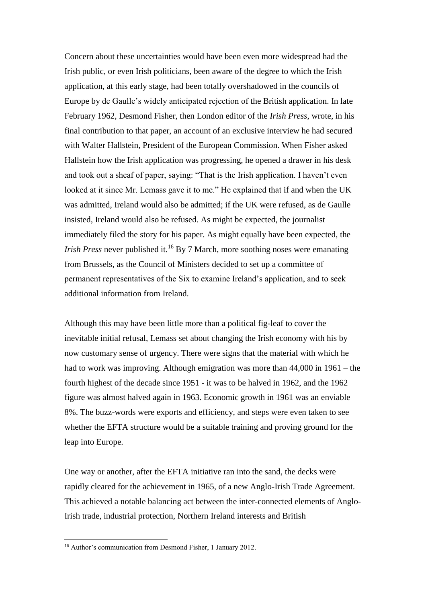Concern about these uncertainties would have been even more widespread had the Irish public, or even Irish politicians, been aware of the degree to which the Irish application, at this early stage, had been totally overshadowed in the councils of Europe by de Gaulle's widely anticipated rejection of the British application. In late February 1962, Desmond Fisher, then London editor of the *Irish Press*, wrote, in his final contribution to that paper, an account of an exclusive interview he had secured with Walter Hallstein, President of the European Commission. When Fisher asked Hallstein how the Irish application was progressing, he opened a drawer in his desk and took out a sheaf of paper, saying: "That is the Irish application. I haven't even looked at it since Mr. Lemass gave it to me." He explained that if and when the UK was admitted, Ireland would also be admitted; if the UK were refused, as de Gaulle insisted, Ireland would also be refused. As might be expected, the journalist immediately filed the story for his paper. As might equally have been expected, the *Irish Press* never published it.<sup>16</sup> By 7 March, more soothing noses were emanating from Brussels, as the Council of Ministers decided to set up a committee of permanent representatives of the Six to examine Ireland's application, and to seek additional information from Ireland.

Although this may have been little more than a political fig-leaf to cover the inevitable initial refusal, Lemass set about changing the Irish economy with his by now customary sense of urgency. There were signs that the material with which he had to work was improving. Although emigration was more than 44,000 in 1961 – the fourth highest of the decade since 1951 - it was to be halved in 1962, and the 1962 figure was almost halved again in 1963. Economic growth in 1961 was an enviable 8%. The buzz-words were exports and efficiency, and steps were even taken to see whether the EFTA structure would be a suitable training and proving ground for the leap into Europe.

One way or another, after the EFTA initiative ran into the sand, the decks were rapidly cleared for the achievement in 1965, of a new Anglo-Irish Trade Agreement. This achieved a notable balancing act between the inter-connected elements of Anglo-Irish trade, industrial protection, Northern Ireland interests and British

<sup>&</sup>lt;sup>16</sup> Author's communication from Desmond Fisher, 1 January 2012.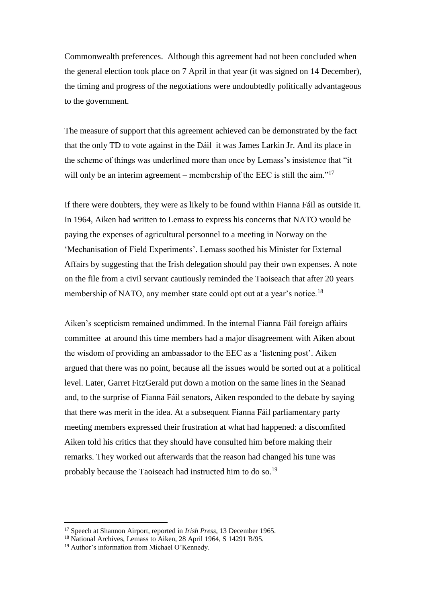Commonwealth preferences. Although this agreement had not been concluded when the general election took place on 7 April in that year (it was signed on 14 December), the timing and progress of the negotiations were undoubtedly politically advantageous to the government.

The measure of support that this agreement achieved can be demonstrated by the fact that the only TD to vote against in the Dáil it was James Larkin Jr. And its place in the scheme of things was underlined more than once by Lemass's insistence that "it will only be an interim agreement – membership of the EEC is still the aim."<sup>17</sup>

If there were doubters, they were as likely to be found within Fianna Fáil as outside it. In 1964, Aiken had written to Lemass to express his concerns that NATO would be paying the expenses of agricultural personnel to a meeting in Norway on the 'Mechanisation of Field Experiments'. Lemass soothed his Minister for External Affairs by suggesting that the Irish delegation should pay their own expenses. A note on the file from a civil servant cautiously reminded the Taoiseach that after 20 years membership of NATO, any member state could opt out at a year's notice.<sup>18</sup>

Aiken's scepticism remained undimmed. In the internal Fianna Fáil foreign affairs committee at around this time members had a major disagreement with Aiken about the wisdom of providing an ambassador to the EEC as a 'listening post'. Aiken argued that there was no point, because all the issues would be sorted out at a political level. Later, Garret FitzGerald put down a motion on the same lines in the Seanad and, to the surprise of Fianna Fáil senators, Aiken responded to the debate by saying that there was merit in the idea. At a subsequent Fianna Fáil parliamentary party meeting members expressed their frustration at what had happened: a discomfited Aiken told his critics that they should have consulted him before making their remarks. They worked out afterwards that the reason had changed his tune was probably because the Taoiseach had instructed him to do so.<sup>19</sup>

<sup>17</sup> Speech at Shannon Airport, reported in *Irish Press*, 13 December 1965.

<sup>18</sup> National Archives, Lemass to Aiken, 28 April 1964, S 14291 B/95.

<sup>19</sup> Author's information from Michael O'Kennedy.